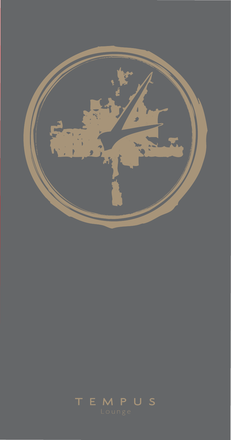

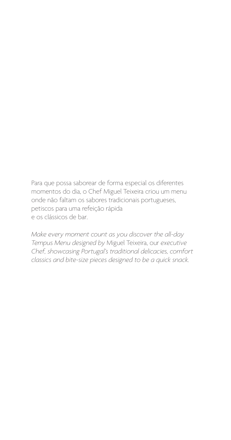Para que possa saborear de forma especial os diferentes momentos do dia, o Chef Miguel Teixeira criou um menu onde não faltam os sabores tradicionais portugueses, petiscos para uma refeição rápida e os clássicos de bar.

*Make every moment count as you discover the all-day Tempus Menu designed by* Miguel Teixeira, our *executive Chef, showcasing Portugal's traditional delicacies, comfort classics and bite-size pieces designed to be a quick snack.*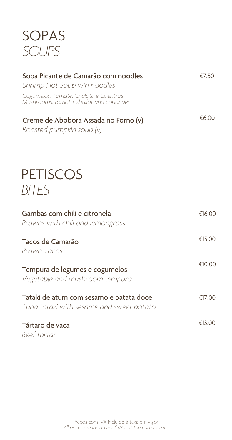## SOPAS *SOUPS*

| Sopa Picante de Camarão com noodles<br>Shrimp Hot Soup wih noodles<br>Cogumelos, Tomate, Chalota e Coentros<br>Mushrooms, tomato, shallot and coriander | €7.50  |
|---------------------------------------------------------------------------------------------------------------------------------------------------------|--------|
| Creme de Abobora Assada no Forno (v)<br>Roasted pumpkin soup (v)                                                                                        | €6.00  |
| <b>PETISCOS</b><br>BITES                                                                                                                                |        |
| Gambas com chili e citronela<br>Prawns with chili and lemongrass                                                                                        | €16.00 |
| Tacos de Camarão<br>Prawn Tacos                                                                                                                         | €15.00 |
| Tempura de legumes e cogumelos<br>Vegetable and mushroom tempura                                                                                        | €10.00 |
| Tataki de atum com sesamo e batata doce<br>Tuna tataki with sesame and sweet potato                                                                     | €17.00 |
| Tártaro de vaca<br>Beef tartar                                                                                                                          | €13.00 |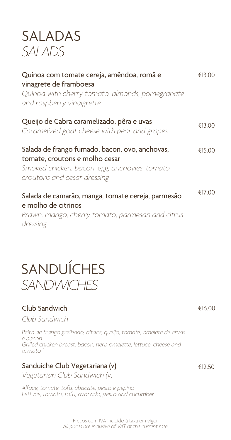### SALADAS *SALADS*

| Quinoa com tomate cereja, amêndoa, romã e<br>vinagrete de framboesa<br>Quinoa with cherry tomato, almonds, pomegranate<br>and raspberry vinaigrette               | €13.00 |
|-------------------------------------------------------------------------------------------------------------------------------------------------------------------|--------|
| Queijo de Cabra caramelizado, pêra e uvas<br>Caramelized goat cheese with pear and grapes                                                                         | €13.00 |
| Salada de frango fumado, bacon, ovo, anchovas,<br>tomate, croutons e molho cesar<br>Smoked chicken, bacon, egg, anchovies, tomato,<br>croutons and cesar dressing | €15.00 |
| Salada de camarão, manga, tomate cereja, parmesão<br>e molho de citrinos<br>Prawn, mango, cherry tomato, parmesan and citrus<br>dressing                          | €17.00 |

# SANDUÍCHES *SANDWICHES*

#### Club Sandwich

*Club Sandwich* 

*Peito de frango grelhado, alface, queijo, tomate, omelete de ervas e bacon Grilled chicken breast, bacon, herb omelette, lettuce, cheese and tomato´*

#### Sanduíche Club Vegetariana (v)

*Vegetarian Club Sandwich (v)*

*Alface, tomate, tofu, abacate, pesto e pepino Lettuce, tomato, tofu, avocado, pesto and cucumber*  €16.00

€12.50

*All prices are inclusive of VAT at the current rate* Preços com IVA incluído à taxa em vigor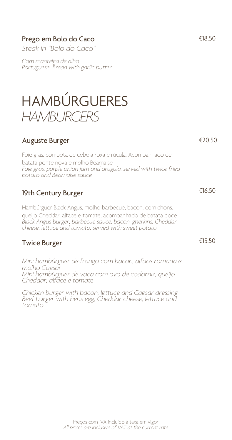#### Prego em Bolo do Caco <del>€18.50</del>

*Steak in "Bolo do Caco"*

*Com manteiga de alho Portuguese Bread with garlic butter*

### HAMBÚRGUERES *HAMBURGERS*

#### €20.50 €16.50 €15.50 Auguste Burger Foie gras, compota de cebola roxa e rúcula. Acompanhado de batata ponte nova e molho Béarnaise *Foie gras, purple onion jam and arugula, served with twice fried potato and Béarnaise sauce*  19th Century Burger Hambúrguer Black Angus, molho barbecue, bacon, cornichons, queijo Cheddar, alface e tomate, acompanhado de batata doce *Black Angus burger, barbecue sauce, bacon, gherkins, Cheddar cheese, lettuce and tomato, served with sweet potato* Twice Burger *Mini hambúrguer de frango com bacon, alface romana e molho Caesar Mini hambúrguer de vaca com ovo de codorniz, queijo Cheddar, alface e tomate Chicken burger with bacon, lettuce and Caesar dressing Beef burger with hens egg, Cheddar cheese, lettuce and tomato*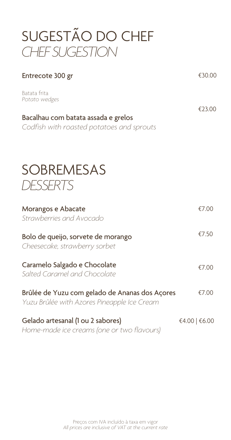# SUGESTÃO DO CHEF *CHEF SUGESTION*

| Entrecote 300 gr                                                                                                  | €30.00        |
|-------------------------------------------------------------------------------------------------------------------|---------------|
| Batata frita<br>Potato wedges<br>Bacalhau com batata assada e grelos<br>Codfish with roasted potatoes and sprouts | €23.00        |
| <b>SOBREMESAS</b><br>DESSERTS                                                                                     |               |
| Morangos e Abacate<br>Strawberries and Avocado                                                                    | €7.00         |
| Bolo de queijo, sorvete de morango<br>Cheesecake, strawberry sorbet                                               | €7.50         |
| Caramelo Salgado e Chocolate<br>Salted Caramel and Chocolate                                                      | €7.00         |
| Brûlée de Yuzu com gelado de Ananas dos Açores<br>Yuzu Brûlée with Azores Pineapple Ice Cream                     | €7.00         |
| Gelado artesanal (1 ou 2 sabores)<br>Home-made ice creams (one or two flavours)                                   | €4.00   €6.00 |